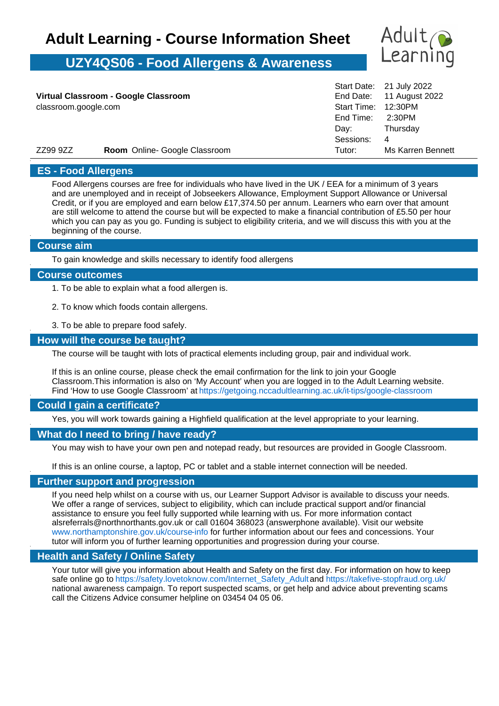# **Adult Learning - Course Information Sheet**

# **UZY4QS06 - Food Allergens & Awareness**



 $\sim 110000$ 

| ZZ99 9ZZ                             | <b>Room</b> Online- Google Classroom | Tutor:              | Ms Karren Bennett        |
|--------------------------------------|--------------------------------------|---------------------|--------------------------|
|                                      |                                      | Sessions:           | 4                        |
|                                      |                                      | Day:                | Thursday                 |
|                                      |                                      | End Time: 2:30PM    |                          |
| classroom.google.com                 |                                      | Start Time: 12:30PM |                          |
| Virtual Classroom - Google Classroom |                                      |                     | End Date: 11 August 2022 |
|                                      |                                      |                     | Start Date: 21 July 2022 |

# **ES - Food Allergens**

Food Allergens courses are free for individuals who have lived in the UK / EEA for a minimum of 3 years and are unemployed and in receipt of Jobseekers Allowance, Employment Support Allowance or Universal Credit, or if you are employed and earn below £17,374.50 per annum. Learners who earn over that amount are still welcome to attend the course but will be expected to make a financial contribution of £5.50 per hour which you can pay as you go. Funding is subject to eligibility criteria, and we will discuss this with you at the beginning of the course.

#### **Course aim**

To gain knowledge and skills necessary to identify food allergens

#### **Course outcomes**

1. To be able to explain what a food allergen is.

- 2. To know which foods contain allergens.
- 3. To be able to prepare food safely.

# **How will the course be taught?**

The course will be taught with lots of practical elements including group, pair and individual work.

If this is an online course, please check the email confirmation for the link to join your Google Classroom.This information is also on 'My Account' when you are logged in to the Adult Learning website. Find 'How to use Google Classroom' at https://getgoing.nccadultlearning.ac.uk/it-tips/google-classroom

# **Could I gain a certificate?**

Yes, you will work towards gaining a Highfield qualification at the level appropriate to your learning.

# **What do I need to bring / have ready?**

You may wish to have your own pen and notepad ready, but resources are provided in Google Classroom.

If this is an online course, a laptop, PC or tablet and a stable internet connection will be needed.

# **Further support and progression**

If you need help whilst on a course with us, our Learner Support Advisor is available to discuss your needs. We offer a range of services, subject to eligibility, which can include practical support and/or financial assistance to ensure you feel fully supported while learning with us. For more information contact alsreferrals@northnorthants.gov.uk or call 01604 368023 (answerphone available). Visit our website www.northamptonshire.gov.uk/course-info for further information about our fees and concessions. Your tutor will inform you of further learning opportunities and progression during your course.

# **Health and Safety / Online Safety**

Your tutor will give you information about Health and Safety on the first day. For information on how to keep safe online go to https://safety.lovetoknow.com/Internet\_Safety\_Adultand https://takefive-stopfraud.org.uk/ national awareness campaign. To report suspected scams, or get help and advice about preventing scams call the Citizens Advice consumer helpline on 03454 04 05 06.